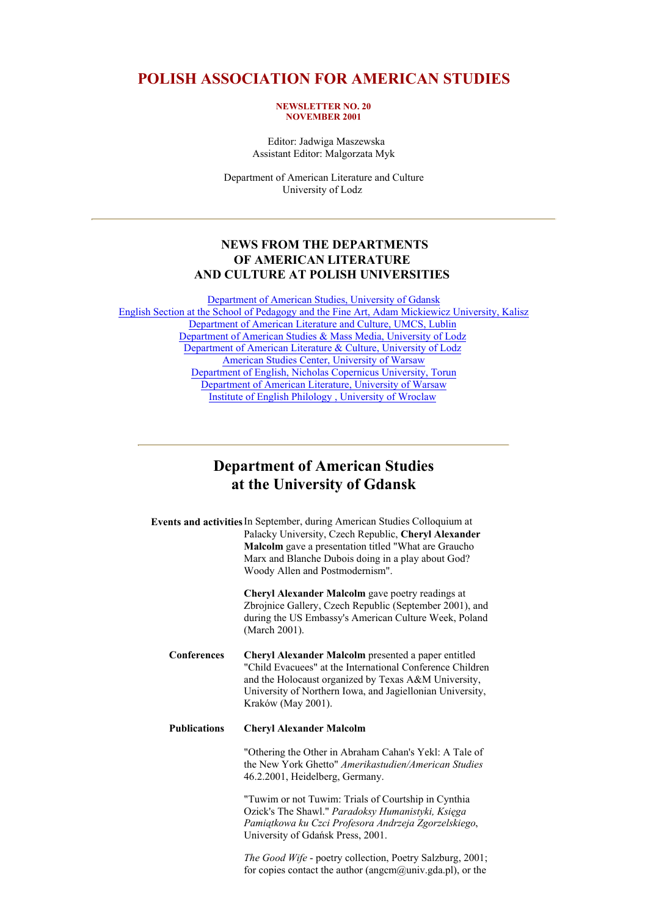## **POLISH ASSOCIATION FOR AMERICAN STUDIES**

#### **NEWSLETTER NO. 20 NOVEMBER 2001**

 Editor: Jadwiga Maszewska Assistant Editor: Malgorzata Myk

Department of American Literature and Culture University of Lodz

### **NEWS FROM THE DEPARTMENTS OF AMERICAN LITERATURE AND CULTURE AT POLISH UNIVERSITIES**

Department of American Studies, University of Gdansk English Section at the School of Pedagogy and the Fine Art, Adam Mickiewicz University, Kalisz Department of American Literature and Culture, UMCS, Lublin Department of American Studies & Mass Media, University of Lodz Department of American Literature & Culture, University of Lodz American Studies Center, University of Warsaw Department of English, Nicholas Copernicus University, Torun Department of American Literature, University of Warsaw Institute of English Philology , University of Wroclaw

## **Department of American Studies at the University of Gdansk**

| <b>Events and activities</b> In September, during American Studies Colloquium at |
|----------------------------------------------------------------------------------|
| Palacky University, Czech Republic, Cheryl Alexander                             |
| <b>Malcolm</b> gave a presentation titled "What are Graucho"                     |
| Marx and Blanche Dubois doing in a play about God?                               |
| Woody Allen and Postmodernism".                                                  |

**Cheryl Alexander Malcolm** gave poetry readings at Zbrojnice Gallery, Czech Republic (September 2001), and during the US Embassy's American Culture Week, Poland (March 2001).

**Conferences Cheryl Alexander Malcolm** presented a paper entitled "Child Evacuees" at the International Conference Children and the Holocaust organized by Texas A&M University, University of Northern Iowa, and Jagiellonian University, Kraków (May 2001).

#### **Publications Cheryl Alexander Malcolm**

"Othering the Other in Abraham Cahan's Yekl: A Tale of the New York Ghetto" *Amerikastudien/American Studies* 46.2.2001, Heidelberg, Germany.

"Tuwim or not Tuwim: Trials of Courtship in Cynthia Ozick's The Shawl." *Paradoksy Humanistyki, Księga Pamiątkowa ku Czci Profesora Andrzeja Zgorzelskiego*, University of Gdańsk Press, 2001.

*The Good Wife* - poetry collection, Poetry Salzburg, 2001; for copies contact the author (angcm $(\partial \text{univ.gda.pl})$ , or the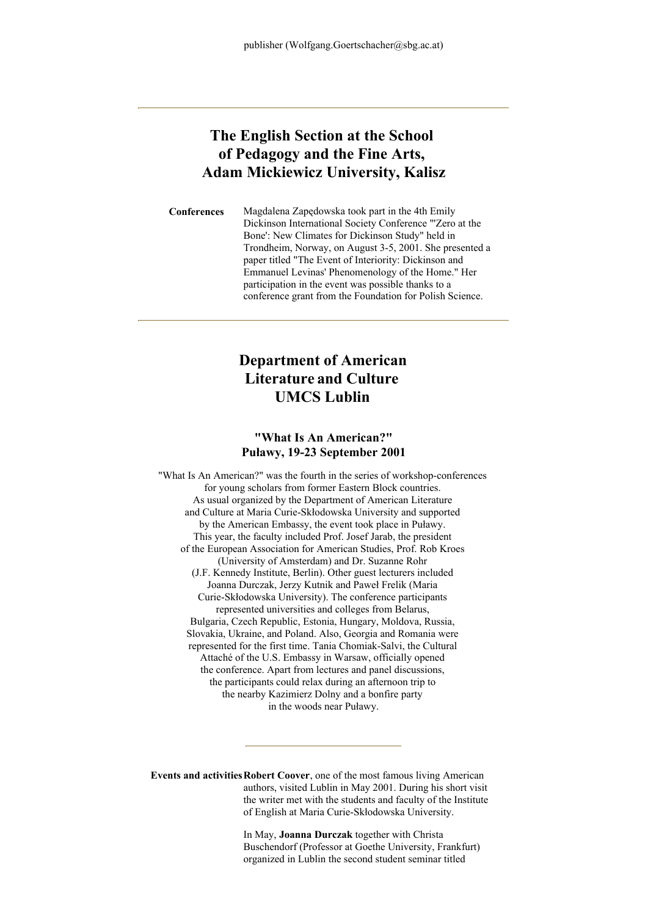# **The English Section at the School of Pedagogy and the Fine Arts, Adam Mickiewicz University, Kalisz**

**Conferences** Magdalena Zapędowska took part in the 4th Emily Dickinson International Society Conference "'Zero at the Bone': New Climates for Dickinson Study" held in Trondheim, Norway, on August 3-5, 2001. She presented a paper titled "The Event of Interiority: Dickinson and Emmanuel Levinas' Phenomenology of the Home." Her participation in the event was possible thanks to a conference grant from the Foundation for Polish Science.

# **Department of American Literature and Culture UMCS Lublin**

### **"What Is An American?" Puławy, 19-23 September 2001**

"What Is An American?" was the fourth in the series of workshop-conferences for young scholars from former Eastern Block countries. As usual organized by the Department of American Literature and Culture at Maria Curie-Skłodowska University and supported by the American Embassy, the event took place in Puławy. This year, the faculty included Prof. Josef Jarab, the president of the European Association for American Studies, Prof. Rob Kroes (University of Amsterdam) and Dr. Suzanne Rohr (J.F. Kennedy Institute, Berlin). Other guest lecturers included Joanna Durczak, Jerzy Kutnik and Paweł Frelik (Maria Curie-Skłodowska University). The conference participants represented universities and colleges from Belarus, Bulgaria, Czech Republic, Estonia, Hungary, Moldova, Russia, Slovakia, Ukraine, and Poland. Also, Georgia and Romania were represented for the first time. Tania Chomiak-Salvi, the Cultural Attaché of the U.S. Embassy in Warsaw, officially opened the conference. Apart from lectures and panel discussions, the participants could relax during an afternoon trip to the nearby Kazimierz Dolny and a bonfire party in the woods near Puławy.

**Events and activitiesRobert Coover**, one of the most famous living American authors, visited Lublin in May 2001. During his short visit the writer met with the students and faculty of the Institute of English at Maria Curie-Skłodowska University.

> In May, **Joanna Durczak** together with Christa Buschendorf (Professor at Goethe University, Frankfurt) organized in Lublin the second student seminar titled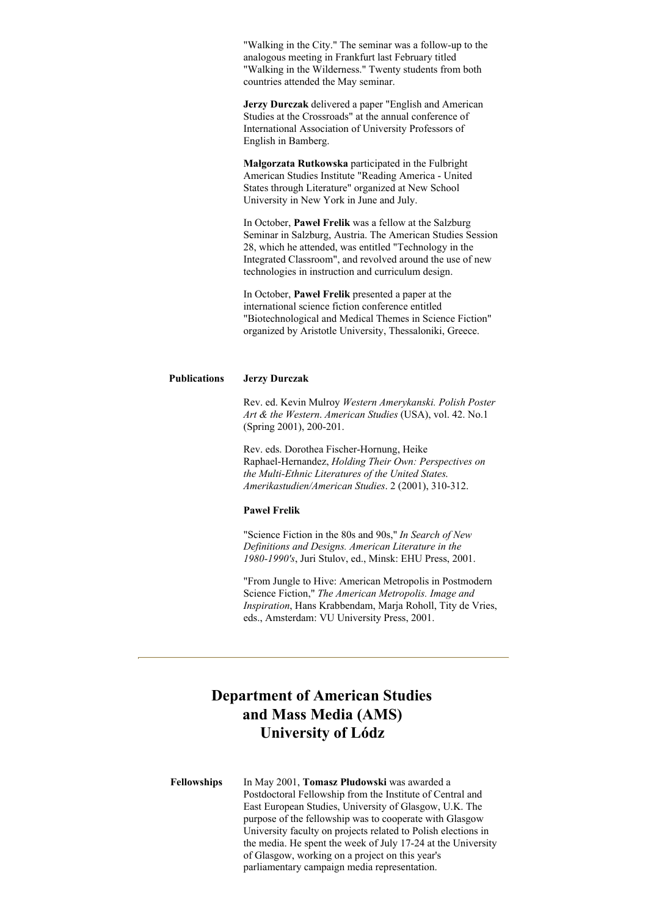"Walking in the City." The seminar was a follow-up to the analogous meeting in Frankfurt last February titled "Walking in the Wilderness." Twenty students from both countries attended the May seminar.

**Jerzy Durczak** delivered a paper "English and American Studies at the Crossroads" at the annual conference of International Association of University Professors of English in Bamberg.

**Małgorzata Rutkowska** participated in the Fulbright American Studies Institute "Reading America - United States through Literature" organized at New School University in New York in June and July.

In October, **Paweł Frelik** was a fellow at the Salzburg Seminar in Salzburg, Austria. The American Studies Session 28, which he attended, was entitled "Technology in the Integrated Classroom", and revolved around the use of new technologies in instruction and curriculum design.

In October, **Paweł Frelik** presented a paper at the international science fiction conference entitled "Biotechnological and Medical Themes in Science Fiction" organized by Aristotle University, Thessaloniki, Greece.

#### **Publications Jerzy Durczak**

Rev. ed. Kevin Mulroy *Western Amerykanski. Polish Poster Art & the Western*. *American Studies* (USA), vol. 42. No.1 (Spring 2001), 200-201.

Rev. eds. Dorothea Fischer-Hornung, Heike Raphael-Hernandez, *Holding Their Own: Perspectives on the Multi-Ethnic Literatures of the United States*. *Amerikastudien/American Studies*. 2 (2001), 310-312.

#### **Paweł Frelik**

"Science Fiction in the 80s and 90s," *In Search of New Definitions and Designs. American Literature in the 1980-1990's*, Juri Stulov, ed., Minsk: EHU Press, 2001.

"From Jungle to Hive: American Metropolis in Postmodern Science Fiction," *The American Metropolis. Image and Inspiration*, Hans Krabbendam, Marja Roholl, Tity de Vries, eds., Amsterdam: VU University Press, 2001.

# **Department of American Studies and Mass Media (AMS) University of Lódz**

**Fellowships** In May 2001, **Tomasz Płudowski** was awarded a Postdoctoral Fellowship from the Institute of Central and East European Studies, University of Glasgow, U.K. The purpose of the fellowship was to cooperate with Glasgow University faculty on projects related to Polish elections in the media. He spent the week of July 17-24 at the University of Glasgow, working on a project on this year's parliamentary campaign media representation.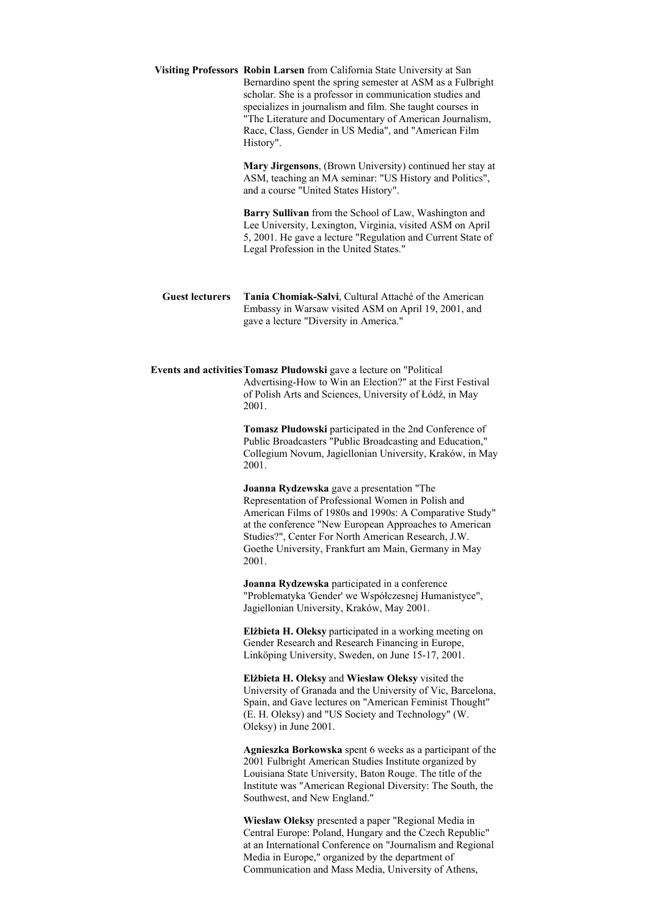**Visiting Professors Robin Larsen** from California State University at San Bernardino spent the spring semester at ASM as a Fulbright scholar. She is a professor in communication studies and specializes in journalism and film. She taught courses in "The Literature and Documentary of American Journalism, Race, Class, Gender in US Media", and "American Film History".

> **Mary Jirgensons**, (Brown University) continued her stay at ASM, teaching an MA seminar: "US History and Politics", and a course "United States History".

> **Barry Sullivan** from the School of Law, Washington and Lee University, Lexington, Virginia, visited ASM on April 5, 2001. He gave a lecture "Regulation and Current State of Legal Profession in the United States."

**Guest lecturers Tania Chomiak-Salvi**, Cultural Attaché of the American Embassy in Warsaw visited ASM on April 19, 2001, and gave a lecture "Diversity in America."

**Events and activitiesTomasz Płudowski** gave a lecture on "Political Advertising-How to Win an Election?" at the First Festival of Polish Arts and Sciences, University of Łódź, in May 2001.

> **Tomasz Płudowski** participated in the 2nd Conference of Public Broadcasters "Public Broadcasting and Education," Collegium Novum, Jagiellonian University, Kraków, in May 2001.

**Joanna Rydzewska** gave a presentation "The Representation of Professional Women in Polish and American Films of 1980s and 1990s: A Comparative Study" at the conference "New European Approaches to American Studies?", Center For North American Research, J.W. Goethe University, Frankfurt am Main, Germany in May 2001.

**Joanna Rydzewska** participated in a conference "Problematyka 'Gender' we Współczesnej Humanistyce", Jagiellonian University, Kraków, May 2001.

**Elżbieta H. Oleksy** participated in a working meeting on Gender Research and Research Financing in Europe, Linköping University, Sweden, on June 15-17, 2001.

**Elżbieta H. Oleksy** and **Wiesław Oleksy** visited the University of Granada and the University of Vic, Barcelona, Spain, and Gave lectures on "American Feminist Thought" (E. H. Oleksy) and "US Society and Technology" (W. Oleksy) in June 2001.

**Agnieszka Borkowska** spent 6 weeks as a participant of the 2001 Fulbright American Studies Institute organized by Louisiana State University, Baton Rouge. The title of the Institute was "American Regional Diversity: The South, the Southwest, and New England."

**Wiesław Oleksy** presented a paper "Regional Media in Central Europe: Poland, Hungary and the Czech Republic" at an International Conference on "Journalism and Regional Media in Europe," organized by the department of Communication and Mass Media, University of Athens,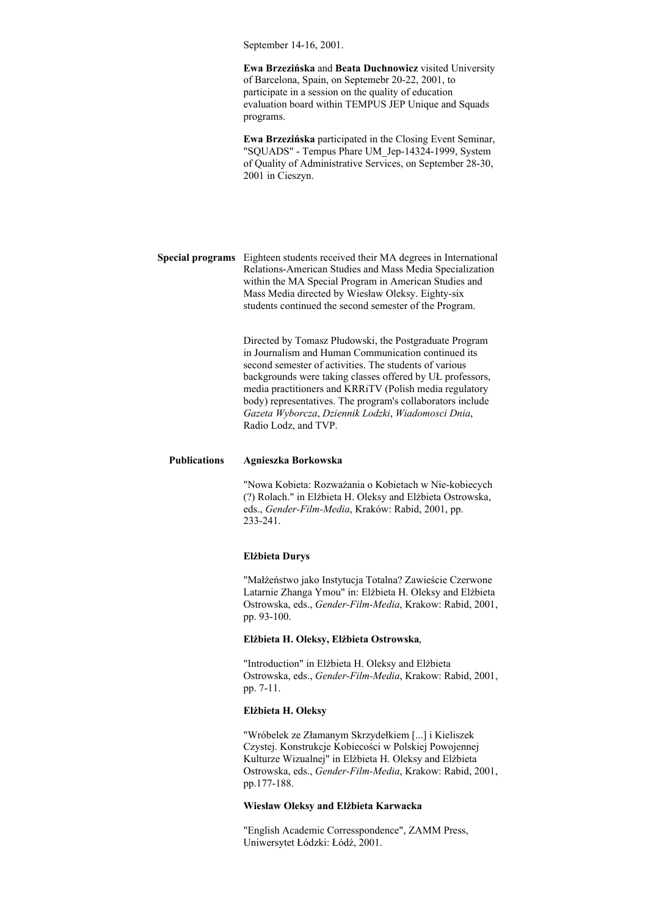September 14-16, 2001.

**Ewa Brzezińska** and **Beata Duchnowicz** visited University of Barcelona, Spain, on Septemebr 20-22, 2001, to participate in a session on the quality of education evaluation board within TEMPUS JEP Unique and Squads programs.

**Ewa Brzezińska** participated in the Closing Event Seminar, "SQUADS" - Tempus Phare UM\_Jep-14324-1999, System of Quality of Administrative Services, on September 28-30, 2001 in Cieszyn.

**Special programs** Eighteen students received their MA degrees in International Relations-American Studies and Mass Media Specialization within the MA Special Program in American Studies and Mass Media directed by Wiesław Oleksy. Eighty-six students continued the second semester of the Program.

> Directed by Tomasz Płudowski, the Postgraduate Program in Journalism and Human Communication continued its second semester of activities. The students of various backgrounds were taking classes offered by UŁ professors, media practitioners and KRRiTV (Polish media regulatory body) representatives. The program's collaborators include *Gazeta Wyborcza*, *Dziennik Lodzki*, *Wiadomosci Dnia*, Radio Lodz, and TVP.

#### **Publications Agnieszka Borkowska**

"Nowa Kobieta: Rozważania o Kobietach w Nie-kobiecych (?) Rolach." in Elżbieta H. Oleksy and Elżbieta Ostrowska, eds., *Gender-Film-Media*, Kraków: Rabid, 2001, pp. 233-241.

#### **Elżbieta Durys**

"Małżeństwo jako Instytucja Totalna? Zawieście Czerwone Latarnie Zhanga Ymou" in: Elżbieta H. Oleksy and Elżbieta Ostrowska, eds., *Gender-Film-Media*, Krakow: Rabid, 2001, pp. 93-100.

#### **Elżbieta H. Oleksy, Elżbieta Ostrowska**,

"Introduction" in Elżbieta H. Oleksy and Elżbieta Ostrowska, eds., *Gender-Film-Media*, Krakow: Rabid, 2001, pp. 7-11.

#### **Elżbieta H. Oleksy**

"Wróbelek ze Złamanym Skrzydełkiem [...] i Kieliszek Czystej. Konstrukcje Kobiecości w Polskiej Powojennej Kulturze Wizualnej" in Elżbieta H. Oleksy and Elżbieta Ostrowska, eds., *Gender-Film-Media*, Krakow: Rabid, 2001, pp.177-188.

#### **Wiesław Oleksy and Elżbieta Karwacka**

"English Academic Corresspondence", ZAMM Press, Uniwersytet Łódzki: Łódź, 2001.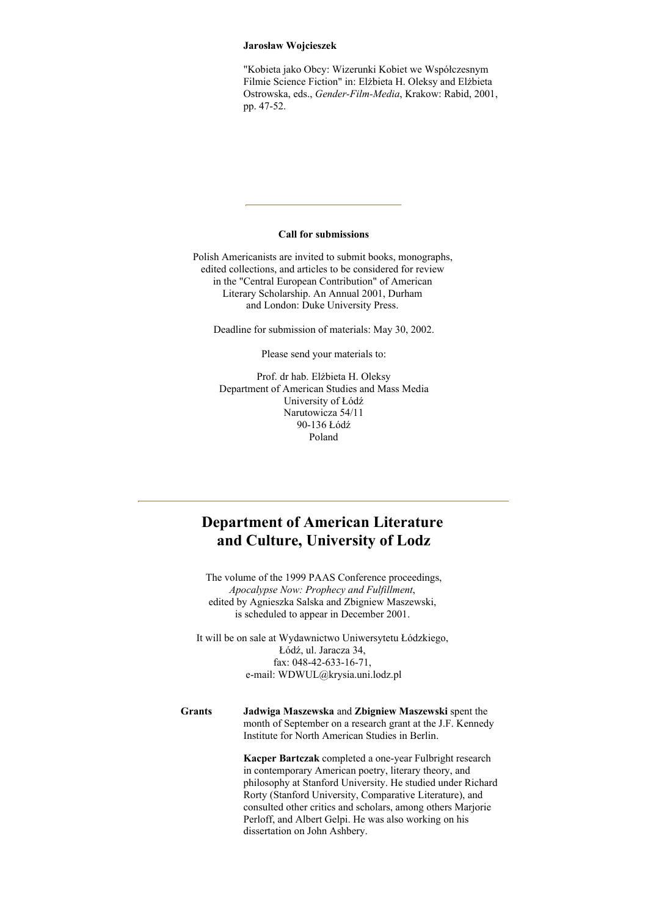#### **Jarosław Wojcieszek**

"Kobieta jako Obcy: Wizerunki Kobiet we Współczesnym Filmie Science Fiction" in: Elżbieta H. Oleksy and Elżbieta Ostrowska, eds., *Gender-Film-Media*, Krakow: Rabid, 2001, pp. 47-52.

#### **Call for submissions**

Polish Americanists are invited to submit books, monographs, edited collections, and articles to be considered for review in the "Central European Contribution" of American Literary Scholarship. An Annual 2001, Durham and London: Duke University Press.

Deadline for submission of materials: May 30, 2002.

Please send your materials to:

Prof. dr hab. Elżbieta H. Oleksy Department of American Studies and Mass Media University of Łódź Narutowicza 54/11 90-136 Łódź Poland

# **Department of American Literature and Culture, University of Lodz**

The volume of the 1999 PAAS Conference proceedings, *Apocalypse Now: Prophecy and Fulfillment*, edited by Agnieszka Salska and Zbigniew Maszewski, is scheduled to appear in December 2001.

It will be on sale at Wydawnictwo Uniwersytetu Łódzkiego, Łódź, ul. Jaracza 34, fax: 048-42-633-16-71, e-mail: WDWUL@krysia.uni.lodz.pl

#### **Grants Jadwiga Maszewska** and **Zbigniew Maszewski** spent the month of September on a research grant at the J.F. Kennedy Institute for North American Studies in Berlin.

**Kacper Bartczak** completed a one-year Fulbright research in contemporary American poetry, literary theory, and philosophy at Stanford University. He studied under Richard Rorty (Stanford University, Comparative Literature), and consulted other critics and scholars, among others Marjorie Perloff, and Albert Gelpi. He was also working on his dissertation on John Ashbery.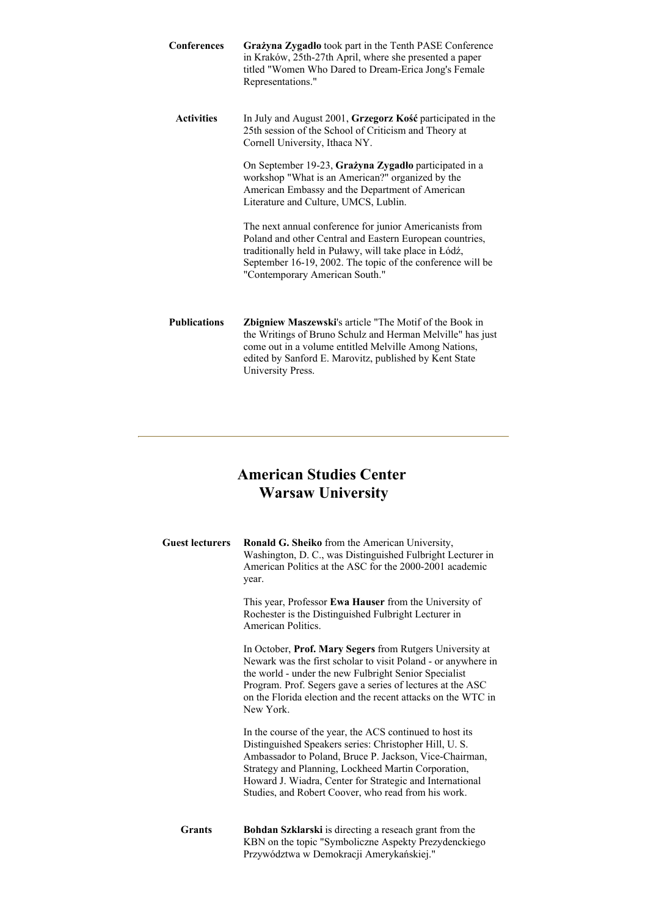| <b>Conferences</b>  | Grażyna Zygadło took part in the Tenth PASE Conference<br>in Kraków, 25th-27th April, where she presented a paper<br>titled "Women Who Dared to Dream-Erica Jong's Female<br>Representations."                                                                                |
|---------------------|-------------------------------------------------------------------------------------------------------------------------------------------------------------------------------------------------------------------------------------------------------------------------------|
| <b>Activities</b>   | In July and August 2001, Grzegorz Kość participated in the<br>25th session of the School of Criticism and Theory at<br>Cornell University, Ithaca NY.                                                                                                                         |
|                     | On September 19-23, Grażyna Zygadło participated in a<br>workshop "What is an American?" organized by the<br>American Embassy and the Department of American<br>Literature and Culture, UMCS, Lublin.                                                                         |
|                     | The next annual conference for junior Americanists from<br>Poland and other Central and Eastern European countries,<br>traditionally held in Puławy, will take place in Łódź,<br>September 16-19, 2002. The topic of the conference will be<br>"Contemporary American South." |
| <b>Publications</b> | <b>Zbigniew Maszewski's article "The Motif of the Book in</b><br>the Writings of Bruno Schulz and Herman Melville" has just<br>come out in a volume entitled Melville Among Nations,<br>edited by Sanford E. Marovitz, published by Kent State<br>University Press.           |

# **American Studies Center Warsaw University**

| <b>Guest lecturers</b> | Ronald G. Sheiko from the American University,<br>Washington, D. C., was Distinguished Fulbright Lecturer in<br>American Politics at the ASC for the 2000-2001 academic<br>year.                                                                                                                                                                      |
|------------------------|-------------------------------------------------------------------------------------------------------------------------------------------------------------------------------------------------------------------------------------------------------------------------------------------------------------------------------------------------------|
|                        | This year, Professor Ewa Hauser from the University of<br>Rochester is the Distinguished Fulbright Lecturer in<br>American Politics.                                                                                                                                                                                                                  |
|                        | In October, Prof. Mary Segers from Rutgers University at<br>Newark was the first scholar to visit Poland - or anywhere in<br>the world - under the new Fulbright Senior Specialist<br>Program. Prof. Segers gave a series of lectures at the ASC<br>on the Florida election and the recent attacks on the WTC in<br>New York.                         |
|                        | In the course of the year, the ACS continued to host its<br>Distinguished Speakers series: Christopher Hill, U.S.<br>Ambassador to Poland, Bruce P. Jackson, Vice-Chairman,<br>Strategy and Planning, Lockheed Martin Corporation,<br>Howard J. Wiadra, Center for Strategic and International<br>Studies, and Robert Coover, who read from his work. |
| <b>Grants</b>          | Bohdan Szklarski is directing a reseach grant from the<br>KBN on the topic "Symboliczne Aspekty Prezydenckiego<br>Przywództwa w Demokracji Amerykańskiej."                                                                                                                                                                                            |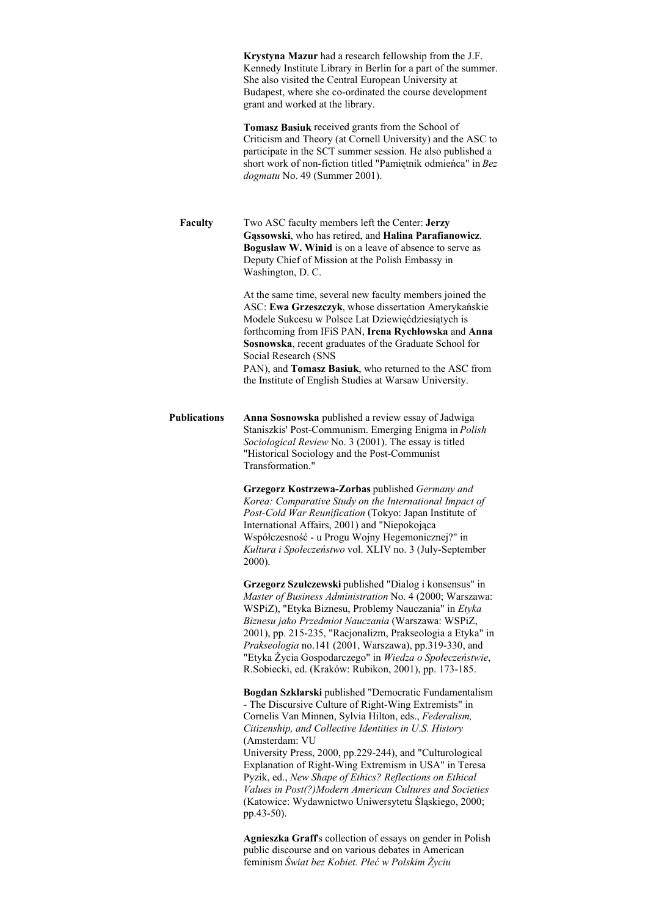|                     | Krystyna Mazur had a research fellowship from the J.F.<br>Kennedy Institute Library in Berlin for a part of the summer.<br>She also visited the Central European University at<br>Budapest, where she co-ordinated the course development<br>grant and worked at the library.                                                                                                                                                                                               |
|---------------------|-----------------------------------------------------------------------------------------------------------------------------------------------------------------------------------------------------------------------------------------------------------------------------------------------------------------------------------------------------------------------------------------------------------------------------------------------------------------------------|
|                     | Tomasz Basiuk received grants from the School of<br>Criticism and Theory (at Cornell University) and the ASC to<br>participate in the SCT summer session. He also published a<br>short work of non-fiction titled "Pamiętnik odmieńca" in Bez<br>dogmatu No. 49 (Summer 2001).                                                                                                                                                                                              |
| Faculty             | Two ASC faculty members left the Center: Jerzy<br>Gąssowski, who has retired, and Halina Parafianowicz.<br>Bogusław W. Winid is on a leave of absence to serve as<br>Deputy Chief of Mission at the Polish Embassy in<br>Washington, D. C.                                                                                                                                                                                                                                  |
|                     | At the same time, several new faculty members joined the<br>ASC: Ewa Grzeszczyk, whose dissertation Amerykańskie<br>Modele Sukcesu w Polsce Lat Dziewięćdziesiątych is<br>forthcoming from IFiS PAN, Irena Rychłowska and Anna<br>Sosnowska, recent graduates of the Graduate School for<br>Social Research (SNS<br>PAN), and Tomasz Basiuk, who returned to the ASC from                                                                                                   |
|                     | the Institute of English Studies at Warsaw University.                                                                                                                                                                                                                                                                                                                                                                                                                      |
| <b>Publications</b> | Anna Sosnowska published a review essay of Jadwiga<br>Staniszkis' Post-Communism. Emerging Enigma in Polish<br>Sociological Review No. 3 (2001). The essay is titled<br>"Historical Sociology and the Post-Communist<br>Transformation."                                                                                                                                                                                                                                    |
|                     | Grzegorz Kostrzewa-Zorbas published Germany and<br>Korea: Comparative Study on the International Impact of<br>Post-Cold War Reunification (Tokyo: Japan Institute of<br>International Affairs, 2001) and "Niepokojąca<br>Współczesność - u Progu Wojny Hegemonicznej?" in<br>Kultura i Społeczeństwo vol. XLIV no. 3 (July-September<br>2000).                                                                                                                              |
|                     | Grzegorz Szulczewski published "Dialog i konsensus" in<br>Master of Business Administration No. 4 (2000; Warszawa:<br>WSPiZ), "Etyka Biznesu, Problemy Nauczania" in Etyka<br>Biznesu jako Przedmiot Nauczania (Warszawa: WSPiZ,<br>2001), pp. 215-235, "Racjonalizm, Prakseologia a Etyka" in<br>Prakseologia no.141 (2001, Warszawa), pp.319-330, and<br>"Etyka Życia Gospodarczego" in Wiedza o Społeczeństwie,<br>R.Sobiecki, ed. (Kraków: Rubikon, 2001), pp. 173-185. |
|                     | Bogdan Szklarski published "Democratic Fundamentalism<br>- The Discursive Culture of Right-Wing Extremists" in<br>Cornelis Van Minnen, Sylvia Hilton, eds., Federalism,<br>Citizenship, and Collective Identities in U.S. History<br>(Amsterdam: VU                                                                                                                                                                                                                         |
|                     | University Press, 2000, pp.229-244), and "Culturological<br>Explanation of Right-Wing Extremism in USA" in Teresa<br>Pyzik, ed., New Shape of Ethics? Reflections on Ethical<br>Values in Post(?)Modern American Cultures and Societies<br>(Katowice: Wydawnictwo Uniwersytetu Śląskiego, 2000;<br>pp.43-50).                                                                                                                                                               |
|                     | Agnieszka Graff's collection of essays on gender in Polish<br>public discourse and on various debates in American<br>feminism Świat bez Kobiet. Płeć w Polskim Życiu                                                                                                                                                                                                                                                                                                        |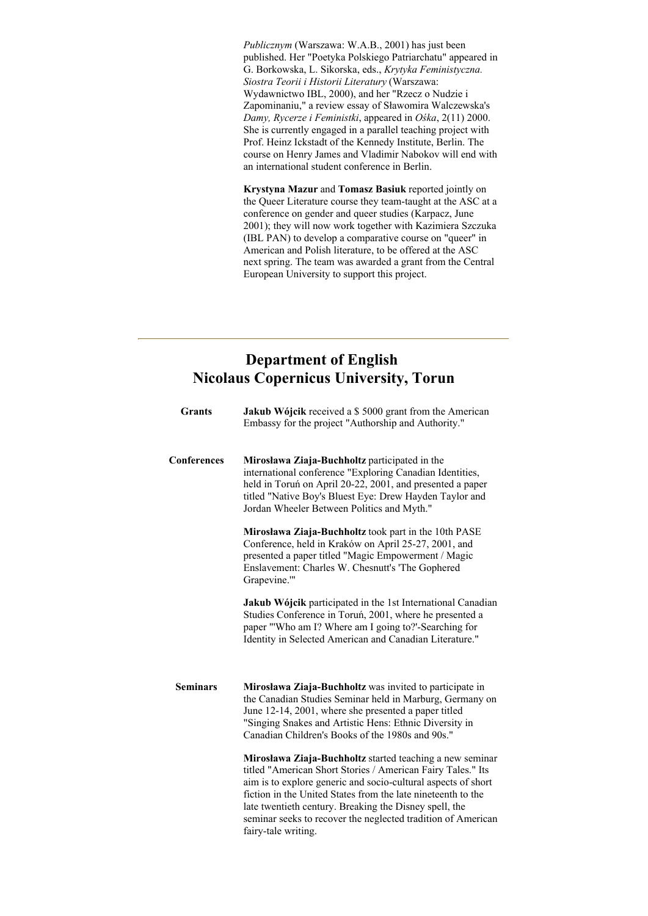*Publicznym* (Warszawa: W.A.B., 2001) has just been published. Her "Poetyka Polskiego Patriarchatu" appeared in G. Borkowska, L. Sikorska, eds., *Krytyka Feministyczna. Siostra Teorii i Historii Literatury* (Warszawa: Wydawnictwo IBL, 2000), and her "Rzecz o Nudzie i Zapominaniu," a review essay of Sławomira Walczewska's *Damy, Rycerze i Feministki*, appeared in *Ośka*, 2(11) 2000. She is currently engaged in a parallel teaching project with Prof. Heinz Ickstadt of the Kennedy Institute, Berlin. The course on Henry James and Vladimir Nabokov will end with an international student conference in Berlin.

**Krystyna Mazur** and **Tomasz Basiuk** reported jointly on the Queer Literature course they team-taught at the ASC at a conference on gender and queer studies (Karpacz, June 2001); they will now work together with Kazimiera Szczuka (IBL PAN) to develop a comparative course on "queer" in American and Polish literature, to be offered at the ASC next spring. The team was awarded a grant from the Central European University to support this project.

# **Department of English Nicolaus Copernicus University, Torun**

| <b>Grants</b>      | Jakub Wójcik received a \$5000 grant from the American<br>Embassy for the project "Authorship and Authority."                                                                                                                                                                                                                                                                                             |
|--------------------|-----------------------------------------------------------------------------------------------------------------------------------------------------------------------------------------------------------------------------------------------------------------------------------------------------------------------------------------------------------------------------------------------------------|
| <b>Conferences</b> | Mirosława Ziaja-Buchholtz participated in the<br>international conference "Exploring Canadian Identities,<br>held in Toruń on April 20-22, 2001, and presented a paper<br>titled "Native Boy's Bluest Eye: Drew Hayden Taylor and<br>Jordan Wheeler Between Politics and Myth."                                                                                                                           |
|                    | Mirosława Ziaja-Buchholtz took part in the 10th PASE<br>Conference, held in Kraków on April 25-27, 2001, and<br>presented a paper titled "Magic Empowerment / Magic<br>Enslavement: Charles W. Chesnutt's 'The Gophered<br>Grapevine.""                                                                                                                                                                   |
|                    | Jakub Wójcik participated in the 1st International Canadian<br>Studies Conference in Toruń, 2001, where he presented a<br>paper "'Who am I? Where am I going to?'-Searching for<br>Identity in Selected American and Canadian Literature."                                                                                                                                                                |
| <b>Seminars</b>    | Mirosława Ziaja-Buchholtz was invited to participate in<br>the Canadian Studies Seminar held in Marburg, Germany on<br>June 12-14, 2001, where she presented a paper titled<br>"Singing Snakes and Artistic Hens: Ethnic Diversity in<br>Canadian Children's Books of the 1980s and 90s."                                                                                                                 |
|                    | Mirosława Ziaja-Buchholtz started teaching a new seminar<br>titled "American Short Stories / American Fairy Tales." Its<br>aim is to explore generic and socio-cultural aspects of short<br>fiction in the United States from the late nineteenth to the<br>late twentieth century. Breaking the Disney spell, the<br>seminar seeks to recover the neglected tradition of American<br>fairy-tale writing. |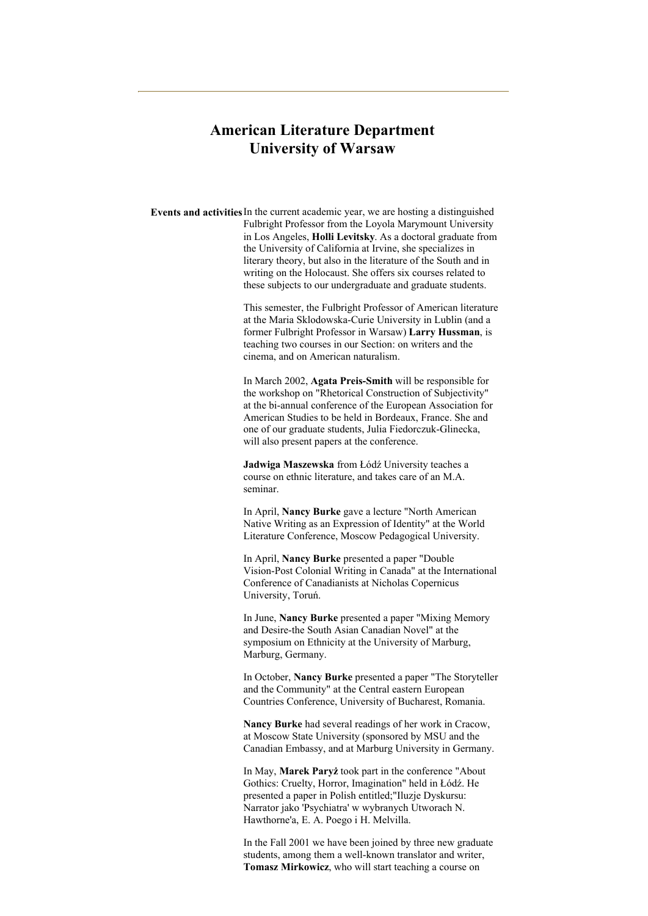## **American Literature Department University of Warsaw**

**Events and activities**In the current academic year, we are hosting a distinguished Fulbright Professor from the Loyola Marymount University in Los Angeles, **Holli Levitsky**. As a doctoral graduate from the University of California at Irvine, she specializes in literary theory, but also in the literature of the South and in writing on the Holocaust. She offers six courses related to these subjects to our undergraduate and graduate students.

> This semester, the Fulbright Professor of American literature at the Maria Sklodowska-Curie University in Lublin (and a former Fulbright Professor in Warsaw) **Larry Hussman**, is teaching two courses in our Section: on writers and the cinema, and on American naturalism.

In March 2002, **Agata Preis-Smith** will be responsible for the workshop on "Rhetorical Construction of Subjectivity" at the bi-annual conference of the European Association for American Studies to be held in Bordeaux, France. She and one of our graduate students, Julia Fiedorczuk-Glinecka, will also present papers at the conference.

**Jadwiga Maszewska** from Łódź University teaches a course on ethnic literature, and takes care of an M.A. seminar.

In April, **Nancy Burke** gave a lecture "North American Native Writing as an Expression of Identity" at the World Literature Conference, Moscow Pedagogical University.

In April, **Nancy Burke** presented a paper "Double Vision-Post Colonial Writing in Canada" at the International Conference of Canadianists at Nicholas Copernicus University, Toruń.

In June, **Nancy Burke** presented a paper "Mixing Memory and Desire-the South Asian Canadian Novel" at the symposium on Ethnicity at the University of Marburg, Marburg, Germany.

In October, **Nancy Burke** presented a paper "The Storyteller and the Community" at the Central eastern European Countries Conference, University of Bucharest, Romania.

**Nancy Burke** had several readings of her work in Cracow, at Moscow State University (sponsored by MSU and the Canadian Embassy, and at Marburg University in Germany.

In May, **Marek Paryż** took part in the conference "About Gothics: Cruelty, Horror, Imagination" held in Łódź. He presented a paper in Polish entitled;"Iluzje Dyskursu: Narrator jako 'Psychiatra' w wybranych Utworach N. Hawthorne'a, E. A. Poego i H. Melvilla.

In the Fall 2001 we have been joined by three new graduate students, among them a well-known translator and writer, **Tomasz Mirkowicz**, who will start teaching a course on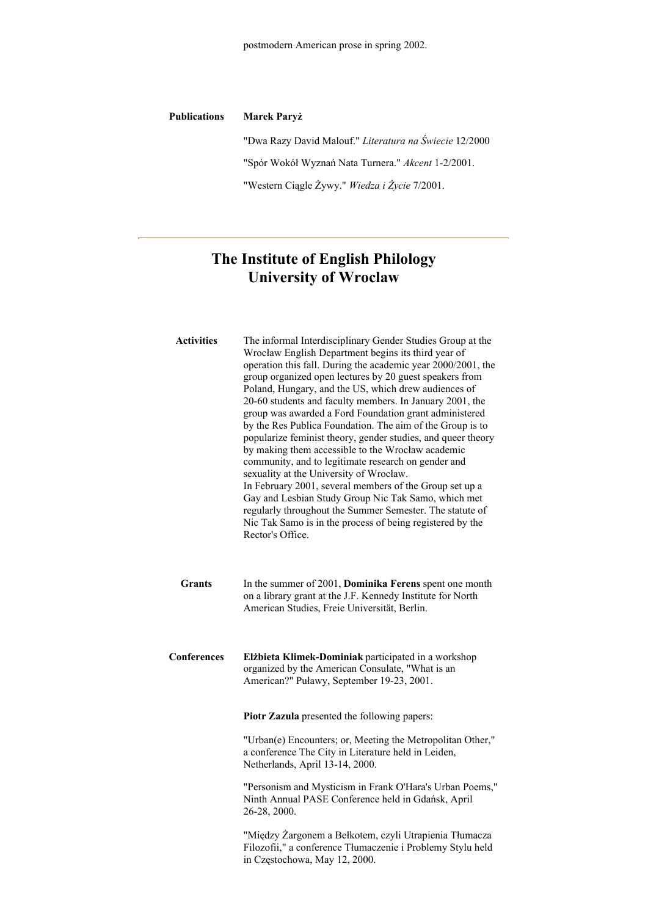| <b>Publications</b> | <b>Marek Paryż</b>                                     |
|---------------------|--------------------------------------------------------|
|                     | "Dwa Razy David Malouf." Literatura na Świecie 12/2000 |
|                     | "Spór Wokół Wyznań Nata Turnera." Akcent 1-2/2001.     |
|                     | "Western Ciagle Żywy." Wiedza i Życie 7/2001.          |
|                     |                                                        |

# **The Institute of English Philology University of Wroclaw**

| <b>Activities</b> | The informal Interdisciplinary Gender Studies Group at the<br>Wrocław English Department begins its third year of<br>operation this fall. During the academic year 2000/2001, the<br>group organized open lectures by 20 guest speakers from<br>Poland, Hungary, and the US, which drew audiences of<br>20-60 students and faculty members. In January 2001, the<br>group was awarded a Ford Foundation grant administered<br>by the Res Publica Foundation. The aim of the Group is to<br>popularize feminist theory, gender studies, and queer theory<br>by making them accessible to the Wrocław academic<br>community, and to legitimate research on gender and<br>sexuality at the University of Wrocław.<br>In February 2001, several members of the Group set up a<br>Gay and Lesbian Study Group Nic Tak Samo, which met<br>regularly throughout the Summer Semester. The statute of<br>Nic Tak Samo is in the process of being registered by the<br>Rector's Office. |
|-------------------|-------------------------------------------------------------------------------------------------------------------------------------------------------------------------------------------------------------------------------------------------------------------------------------------------------------------------------------------------------------------------------------------------------------------------------------------------------------------------------------------------------------------------------------------------------------------------------------------------------------------------------------------------------------------------------------------------------------------------------------------------------------------------------------------------------------------------------------------------------------------------------------------------------------------------------------------------------------------------------|
| <b>Grants</b>     | In the summer of 2001, Dominika Ferens spent one month<br>on a library grant at the J.F. Kennedy Institute for North<br>American Studies, Freie Universität, Berlin.                                                                                                                                                                                                                                                                                                                                                                                                                                                                                                                                                                                                                                                                                                                                                                                                          |
| Conferences       | Elżbieta Klimek-Dominiak participated in a workshop<br>organized by the American Consulate, "What is an<br>American?" Puławy, September 19-23, 2001.                                                                                                                                                                                                                                                                                                                                                                                                                                                                                                                                                                                                                                                                                                                                                                                                                          |
|                   | Piotr Zazula presented the following papers:                                                                                                                                                                                                                                                                                                                                                                                                                                                                                                                                                                                                                                                                                                                                                                                                                                                                                                                                  |
|                   | "Urban(e) Encounters; or, Meeting the Metropolitan Other,"<br>a conference The City in Literature held in Leiden,<br>Netherlands, April 13-14, 2000.                                                                                                                                                                                                                                                                                                                                                                                                                                                                                                                                                                                                                                                                                                                                                                                                                          |
|                   | "Personism and Mysticism in Frank O'Hara's Urban Poems,"<br>Ninth Annual PASE Conference held in Gdańsk, April<br>26-28, 2000.                                                                                                                                                                                                                                                                                                                                                                                                                                                                                                                                                                                                                                                                                                                                                                                                                                                |
|                   | "Między Żargonem a Bełkotem, czyli Utrapienia Tłumacza<br>Filozofii," a conference Tłumaczenie i Problemy Stylu held<br>in Częstochowa, May 12, 2000.                                                                                                                                                                                                                                                                                                                                                                                                                                                                                                                                                                                                                                                                                                                                                                                                                         |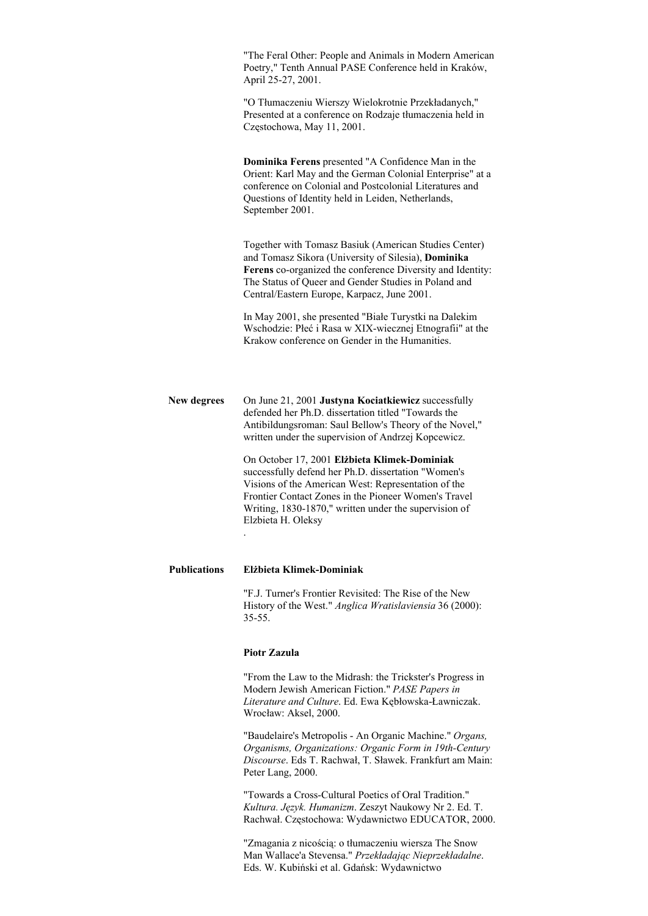"The Feral Other: People and Animals in Modern American Poetry," Tenth Annual PASE Conference held in Kraków, April 25-27, 2001.

"O Tłumaczeniu Wierszy Wielokrotnie Przekładanych," Presented at a conference on Rodzaje tłumaczenia held in Częstochowa, May 11, 2001.

**Dominika Ferens** presented "A Confidence Man in the Orient: Karl May and the German Colonial Enterprise" at a conference on Colonial and Postcolonial Literatures and Questions of Identity held in Leiden, Netherlands, September 2001.

Together with Tomasz Basiuk (American Studies Center) and Tomasz Sikora (University of Silesia), **Dominika Ferens** co-organized the conference Diversity and Identity: The Status of Queer and Gender Studies in Poland and Central/Eastern Europe, Karpacz, June 2001.

In May 2001, she presented "Białe Turystki na Dalekim Wschodzie: Płeć i Rasa w XIX-wiecznej Etnografii" at the Krakow conference on Gender in the Humanities.

**New degrees** On June 21, 2001 **Justyna Kociatkiewicz** successfully defended her Ph.D. dissertation titled "Towards the Antibildungsroman: Saul Bellow's Theory of the Novel," written under the supervision of Andrzej Kopcewicz.

> On October 17, 2001 **Elżbieta Klimek-Dominiak** successfully defend her Ph.D. dissertation "Women's Visions of the American West: Representation of the Frontier Contact Zones in the Pioneer Women's Travel Writing, 1830-1870," written under the supervision of Elzbieta H. Oleksy

### **Publications Elżbieta Klimek-Dominiak**

"F.J. Turner's Frontier Revisited: The Rise of the New History of the West." *Anglica Wratislaviensia* 36 (2000): 35-55.

#### **Piotr Zazula**

.

"From the Law to the Midrash: the Trickster's Progress in Modern Jewish American Fiction." *PASE Papers in Literature and Culture*. Ed. Ewa Kębłowska-Ławniczak. Wrocław: Aksel, 2000.

"Baudelaire's Metropolis - An Organic Machine." *Organs, Organisms, Organizations: Organic Form in 19th-Century Discourse*. Eds T. Rachwał, T. Sławek. Frankfurt am Main: Peter Lang, 2000.

"Towards a Cross-Cultural Poetics of Oral Tradition." *Kultura. Język. Humanizm*. Zeszyt Naukowy Nr 2. Ed. T. Rachwał. Częstochowa: Wydawnictwo EDUCATOR, 2000.

"Zmagania z nicością: o tłumaczeniu wiersza The Snow Man Wallace'a Stevensa." *Przekładając Nieprzekładalne*. Eds. W. Kubiński et al. Gdańsk: Wydawnictwo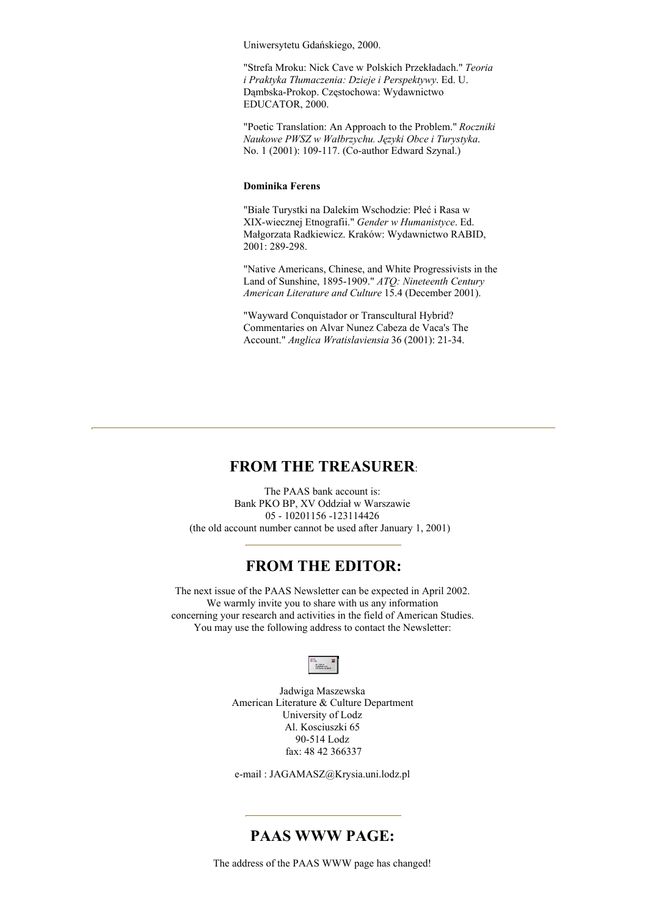Uniwersytetu Gdańskiego, 2000.

"Strefa Mroku: Nick Cave w Polskich Przekładach." *Teoria i Praktyka Tłumaczenia: Dzieje i Perspektywy*. Ed. U. Dąmbska-Prokop. Częstochowa: Wydawnictwo EDUCATOR, 2000.

"Poetic Translation: An Approach to the Problem." *Roczniki Naukowe PWSZ w Wałbrzychu. Języki Obce i Turystyka*. No. 1 (2001): 109-117. (Co-author Edward Szynal.)

#### **Dominika Ferens**

"Białe Turystki na Dalekim Wschodzie: Płeć i Rasa w XIX-wiecznej Etnografii." *Gender w Humanistyce*. Ed. Małgorzata Radkiewicz. Kraków: Wydawnictwo RABID, 2001: 289-298.

"Native Americans, Chinese, and White Progressivists in the Land of Sunshine, 1895-1909." *ATQ: Nineteenth Century American Literature and Culture* 15.4 (December 2001).

"Wayward Conquistador or Transcultural Hybrid? Commentaries on Alvar Nunez Cabeza de Vaca's The Account." *Anglica Wratislaviensia* 36 (2001): 21-34.

### **FROM THE TREASURER**:

The PAAS bank account is: Bank PKO BP, XV Oddział w Warszawie 05 - 10201156 -123114426 (the old account number cannot be used after January 1, 2001)

### **FROM THE EDITOR:**

The next issue of the PAAS Newsletter can be expected in April 2002. We warmly invite you to share with us any information concerning your research and activities in the field of American Studies. You may use the following address to contact the Newsletter:



Jadwiga Maszewska American Literature & Culture Department University of Lodz Al. Kosciuszki 65 90-514 Lodz fax: 48 42 366337

e-mail : JAGAMASZ@Krysia.uni.lodz.pl

### **PAAS WWW PAGE:**

The address of the PAAS WWW page has changed!